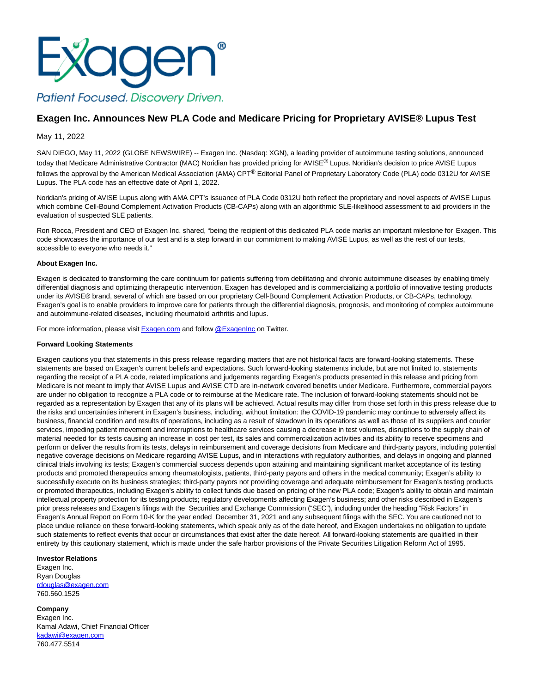

## **Exagen Inc. Announces New PLA Code and Medicare Pricing for Proprietary AVISE® Lupus Test**

May 11, 2022

SAN DIEGO, May 11, 2022 (GLOBE NEWSWIRE) -- Exagen Inc. (Nasdaq: XGN), a leading provider of autoimmune testing solutions, announced today that Medicare Administrative Contractor (MAC) Noridian has provided pricing for AVISE® Lupus. Noridian's decision to price AVISE Lupus follows the approval by the American Medical Association (AMA) CPT<sup>®</sup> Editorial Panel of Proprietary Laboratory Code (PLA) code 0312U for AVISE Lupus. The PLA code has an effective date of April 1, 2022.

Noridian's pricing of AVISE Lupus along with AMA CPT's issuance of PLA Code 0312U both reflect the proprietary and novel aspects of AVISE Lupus which combine Cell-Bound Complement Activation Products (CB-CAPs) along with an algorithmic SLE-likelihood assessment to aid providers in the evaluation of suspected SLE patients.

Ron Rocca, President and CEO of Exagen Inc. shared, "being the recipient of this dedicated PLA code marks an important milestone for Exagen. This code showcases the importance of our test and is a step forward in our commitment to making AVISE Lupus, as well as the rest of our tests, accessible to everyone who needs it."

## **About Exagen Inc.**

Exagen is dedicated to transforming the care continuum for patients suffering from debilitating and chronic autoimmune diseases by enabling timely differential diagnosis and optimizing therapeutic intervention. Exagen has developed and is commercializing a portfolio of innovative testing products under its AVISE® brand, several of which are based on our proprietary Cell-Bound Complement Activation Products, or CB-CAPs, technology. Exagen's goal is to enable providers to improve care for patients through the differential diagnosis, prognosis, and monitoring of complex autoimmune and autoimmune-related diseases, including rheumatoid arthritis and lupus.

For more information, please visit **Exagen.com** and follow [@ExagenInc o](https://www.globenewswire.com/Tracker?data=-lJ2UyeqL-0QCThf_5iApcWkYe0O3VlA8llAq2zXwin3N3Fay6lt41x0jfr5xhte1P8i6Ngs_2cSyOr1vRgY6A==)n Twitter.

## **Forward Looking Statements**

Exagen cautions you that statements in this press release regarding matters that are not historical facts are forward-looking statements. These statements are based on Exagen's current beliefs and expectations. Such forward-looking statements include, but are not limited to, statements regarding the receipt of a PLA code, related implications and judgements regarding Exagen's products presented in this release and pricing from Medicare is not meant to imply that AVISE Lupus and AVISE CTD are in-network covered benefits under Medicare. Furthermore, commercial payors are under no obligation to recognize a PLA code or to reimburse at the Medicare rate. The inclusion of forward-looking statements should not be regarded as a representation by Exagen that any of its plans will be achieved. Actual results may differ from those set forth in this press release due to the risks and uncertainties inherent in Exagen's business, including, without limitation: the COVID-19 pandemic may continue to adversely affect its business, financial condition and results of operations, including as a result of slowdown in its operations as well as those of its suppliers and courier services, impeding patient movement and interruptions to healthcare services causing a decrease in test volumes, disruptions to the supply chain of material needed for its tests causing an increase in cost per test, its sales and commercialization activities and its ability to receive specimens and perform or deliver the results from its tests, delays in reimbursement and coverage decisions from Medicare and third-party payors, including potential negative coverage decisions on Medicare regarding AVISE Lupus, and in interactions with regulatory authorities, and delays in ongoing and planned clinical trials involving its tests; Exagen's commercial success depends upon attaining and maintaining significant market acceptance of its testing products and promoted therapeutics among rheumatologists, patients, third-party payors and others in the medical community; Exagen's ability to successfully execute on its business strategies; third-party payors not providing coverage and adequate reimbursement for Exagen's testing products or promoted therapeutics, including Exagen's ability to collect funds due based on pricing of the new PLA code; Exagen's ability to obtain and maintain intellectual property protection for its testing products; regulatory developments affecting Exagen's business; and other risks described in Exagen's prior press releases and Exagen's filings with the Securities and Exchange Commission ("SEC"), including under the heading "Risk Factors" in Exagen's Annual Report on Form 10-K for the year ended December 31, 2021 and any subsequent filings with the SEC. You are cautioned not to place undue reliance on these forward-looking statements, which speak only as of the date hereof, and Exagen undertakes no obligation to update such statements to reflect events that occur or circumstances that exist after the date hereof. All forward-looking statements are qualified in their entirety by this cautionary statement, which is made under the safe harbor provisions of the Private Securities Litigation Reform Act of 1995.

## **Investor Relations**

760.477.5514

Exagen Inc. Ryan Douglas [rdouglas@exagen.com](https://www.globenewswire.com/Tracker?data=4kivaZw8QiZ2gKHXv32VfDyxK2zZgOHowy7nI2RrcOg1wMgZz5lhjgLXwVnzcIpwUvpn74Re7Jx3U5C13rZ2IhfOI_ciT-o3Nwoe8qGi-8I=) 760.560.1525

**Company** Exagen Inc. Kamal Adawi, Chief Financial Officer [kadawi@exagen.com](https://www.globenewswire.com/Tracker?data=evxfmT2yiVBO9w_aeeSGFY7rUe_bjRIS7-ijR73K448eA-XUdWUmMRRV2gMPaj-q-FO_fT0vJbMd52clT_cwAA==)